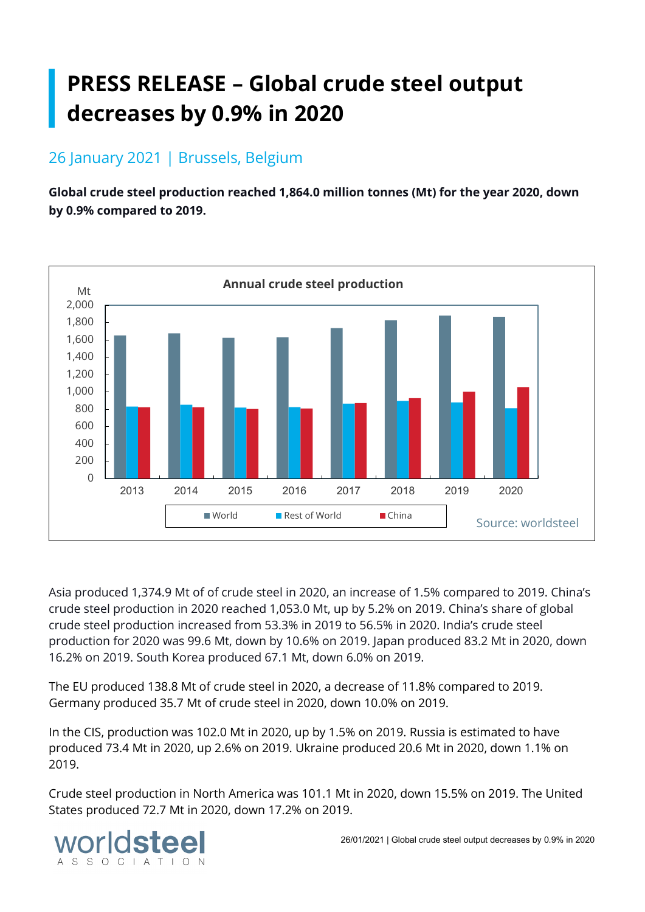# **PRESS RELEASE – Global crude steel output decreases by 0.9% in 2020**

# 26 January 2021 | Brussels, Belgium

**Global crude steel production reached 1,864.0 million tonnes (Mt) for the year 2020, down by 0.9% compared to 2019.**



Asia produced 1,374.9 Mt of of crude steel in 2020, an increase of 1.5% compared to 2019. China's crude steel production in 2020 reached 1,053.0 Mt, up by 5.2% on 2019. China's share of global crude steel production increased from 53.3% in 2019 to 56.5% in 2020. India's crude steel production for 2020 was 99.6 Mt, down by 10.6% on 2019. Japan produced 83.2 Mt in 2020, down 16.2% on 2019. South Korea produced 67.1 Mt, down 6.0% on 2019.

The EU produced 138.8 Mt of crude steel in 2020, a decrease of 11.8% compared to 2019. Germany produced 35.7 Mt of crude steel in 2020, down 10.0% on 2019.

In the CIS, production was 102.0 Mt in 2020, up by 1.5% on 2019. Russia is estimated to have produced 73.4 Mt in 2020, up 2.6% on 2019. Ukraine produced 20.6 Mt in 2020, down 1.1% on 2019.

Crude steel production in North America was 101.1 Mt in 2020, down 15.5% on 2019. The United States produced 72.7 Mt in 2020, down 17.2% on 2019.

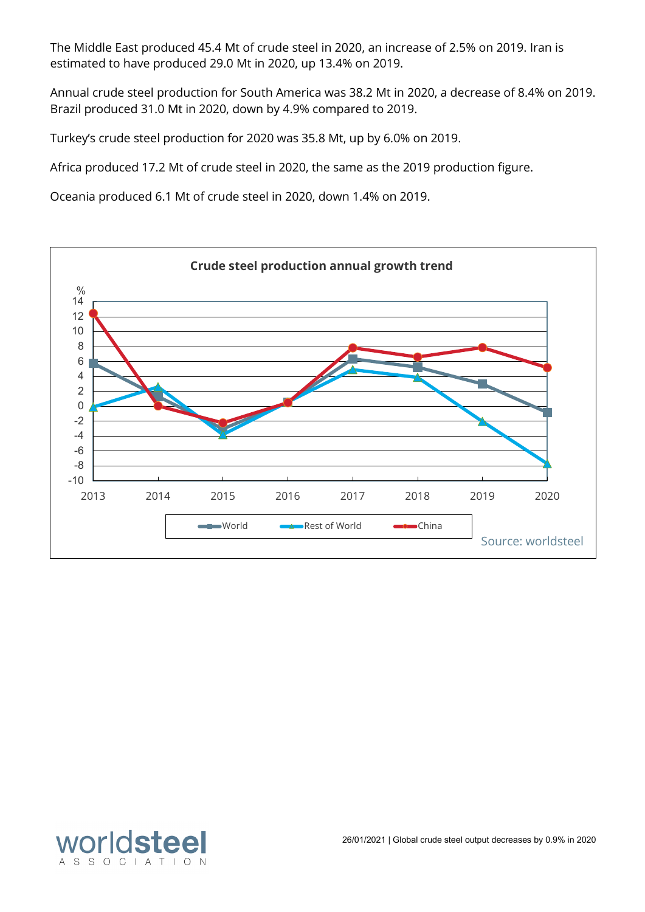The Middle East produced 45.4 Mt of crude steel in 2020, an increase of 2.5% on 2019. Iran is estimated to have produced 29.0 Mt in 2020, up 13.4% on 2019.

Annual crude steel production for South America was 38.2 Mt in 2020, a decrease of 8.4% on 2019. Brazil produced 31.0 Mt in 2020, down by 4.9% compared to 2019.

Turkey's crude steel production for 2020 was 35.8 Mt, up by 6.0% on 2019.

Africa produced 17.2 Mt of crude steel in 2020, the same as the 2019 production figure.

Oceania produced 6.1 Mt of crude steel in 2020, down 1.4% on 2019.



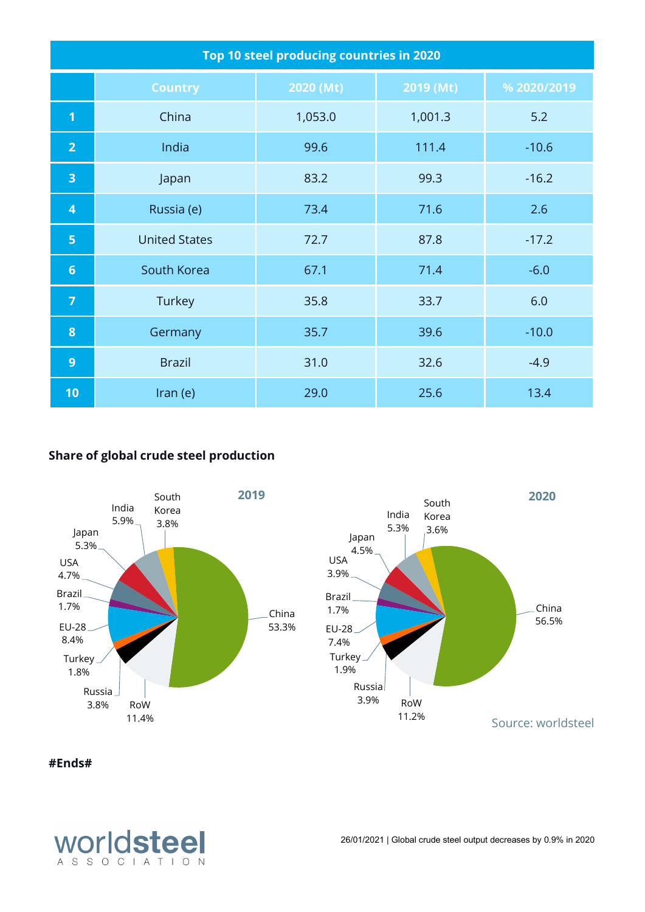| Top 10 steel producing countries in 2020 |                      |           |           |             |
|------------------------------------------|----------------------|-----------|-----------|-------------|
|                                          | <b>Country</b>       | 2020 (Mt) | 2019 (Mt) | % 2020/2019 |
| 1                                        | China                | 1,053.0   | 1,001.3   | 5.2         |
| $\overline{2}$                           | India                | 99.6      | 111.4     | $-10.6$     |
| 3                                        | Japan                | 83.2      | 99.3      | $-16.2$     |
| 4                                        | Russia (e)           | 73.4      | 71.6      | 2.6         |
| 5                                        | <b>United States</b> | 72.7      | 87.8      | $-17.2$     |
| $6\phantom{1}$                           | South Korea          | 67.1      | 71.4      | $-6.0$      |
| $\overline{7}$                           | Turkey               | 35.8      | 33.7      | 6.0         |
| 8                                        | Germany              | 35.7      | 39.6      | $-10.0$     |
| 9                                        | <b>Brazil</b>        | 31.0      | 32.6      | $-4.9$      |
| 10                                       | Iran(e)              | 29.0      | 25.6      | 13.4        |

### **Share of global crude steel production**



#### **#Ends#**